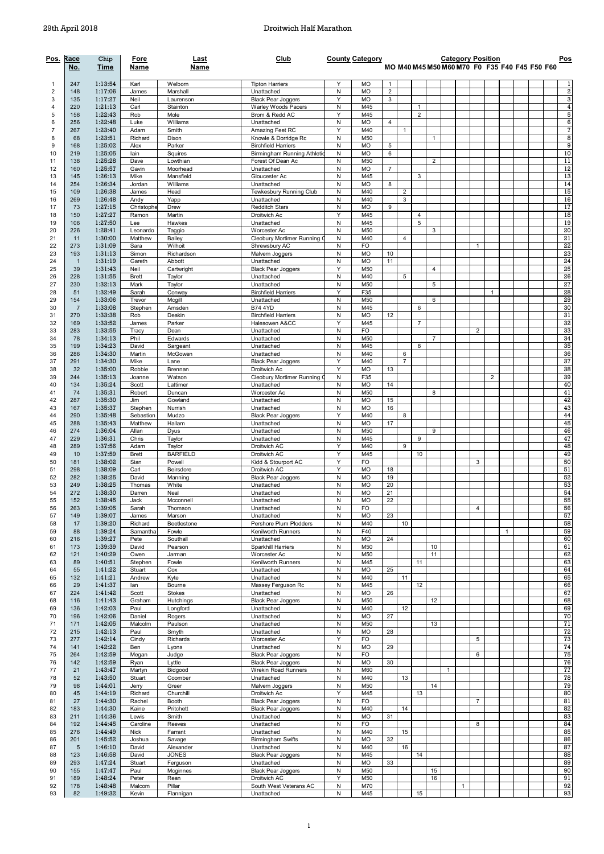## 29th April 2018 Droitwich Half Marathon

| Po <u>s.</u>        | Race<br>No.          | Chip<br>Time       | Fore<br>Name        | Last<br>Name               | Club                                                   |                | <b>County Category</b> |                |                     |                |                | <b>Category Position</b> |              |                |                |              | MO M40 M45 M50 M60 M70 F0 F35 F40 F45 F50 F60 |  | <u>Pos</u>       |
|---------------------|----------------------|--------------------|---------------------|----------------------------|--------------------------------------------------------|----------------|------------------------|----------------|---------------------|----------------|----------------|--------------------------|--------------|----------------|----------------|--------------|-----------------------------------------------|--|------------------|
| 1                   | 247                  | 1:13:54            | Karl                | Welborn                    | <b>Tipton Harriers</b>                                 | Υ              | <b>MO</b>              | $\mathbf{1}$   |                     |                |                |                          |              |                |                |              |                                               |  | 1                |
| $\overline{c}$      | 148                  | 1:17:06            | James               | Marshall                   | Unattached                                             | ${\sf N}$      | <b>MO</b>              | $\overline{2}$ |                     |                |                |                          |              |                |                |              |                                               |  | $\boldsymbol{2}$ |
| 3                   | 135                  | 1:17:27            | Neil                | Laurenson                  | <b>Black Pear Joggers</b>                              | Y              | <b>MO</b>              | 3              |                     |                |                |                          |              |                |                |              |                                               |  | 3                |
| 4                   | 220                  | 1:21:13            | Carl                | Stainton                   | Warley Woods Pacers                                    | ${\sf N}$      | M45                    |                |                     | $\mathbf{1}$   |                |                          |              |                |                |              |                                               |  | 4                |
| 5                   | 158                  | 1:22:43            | Rob                 | Mole                       | Brom & Redd AC                                         | Υ              | M45                    |                |                     | $\overline{2}$ |                |                          |              |                |                |              |                                               |  | 5                |
| 6                   | 256                  | 1:22:48            | Luke                | Williams                   | Unattached                                             | N<br>Υ         | <b>MO</b><br>M40       | $\overline{4}$ |                     |                |                |                          |              |                |                |              |                                               |  | 6<br>7           |
| $\overline{7}$<br>8 | 267<br>68            | 1:23:40<br>1:23:51 | Adam<br>Richard     | Smith<br>Dixon             | Amazing Feet RC<br>Knowle & Dorridge Rc                | N              | M50                    |                | $\mathbf{1}$        |                | 1              |                          |              |                |                |              |                                               |  | 8                |
| 9                   | 168                  | 1:25:02            | Alex                | Parker                     | <b>Birchfield Harriers</b>                             | N              | <b>MO</b>              | 5              |                     |                |                |                          |              |                |                |              |                                               |  | 9                |
| 10                  | 219                  | 1:25:05            | lain                | Squires                    | Birmingham Running Athletic                            | N              | <b>MO</b>              | 6              |                     |                |                |                          |              |                |                |              |                                               |  | 10               |
| 11                  | 138                  | 1:25:28            | Dave                | Lowthian                   | Forest Of Dean Ac                                      | ${\sf N}$      | M50                    |                |                     |                | $\overline{2}$ |                          |              |                |                |              |                                               |  | 11               |
| 12                  | 160                  | 1:25:57            | Gavin               | Moorhead                   | Unattached                                             | N              | <b>MO</b>              | $\overline{7}$ |                     |                |                |                          |              |                |                |              |                                               |  | 12               |
| 13                  | 145                  | 1:26:13            | Mike                | Mansfield                  | Gloucester Ac                                          | N              | M45                    |                |                     | 3              |                |                          |              |                |                |              |                                               |  | 13               |
| 14                  | 254                  | 1:26:34            | Jordan              | Williams                   | Unattached                                             | N              | <b>MO</b>              | 8              |                     |                |                |                          |              |                |                |              |                                               |  | 14               |
| 15<br>16            | 109<br>269           | 1:26:38<br>1:26:48 | James<br>Andy       | Head<br>Yapp               | Tewkesbury Running Club<br>Unattached                  | N<br>N         | M40<br>M40             |                | $\overline{2}$<br>3 |                |                |                          |              |                |                |              |                                               |  | 15<br>16         |
| 17                  | 73                   | 1:27:15            | Christophe          | Drew                       | Redditch Stars                                         | ${\sf N}$      | MO                     | 9              |                     |                |                |                          |              |                |                |              |                                               |  | 17               |
| 18                  | 150                  | 1:27:27            | Ramon               | Martin                     | Droitwich Ac                                           | Y              | M45                    |                |                     | $\overline{4}$ |                |                          |              |                |                |              |                                               |  | 18               |
| 19                  | 106                  | 1:27:50            | Lee                 | Hawkes                     | Unattached                                             | N              | M45                    |                |                     | 5              |                |                          |              |                |                |              |                                               |  | 19               |
| 20                  | 226                  | 1:28:41            | Leonardo            | Taggio                     | Worcester Ac                                           | N              | M50                    |                |                     |                | 3              |                          |              |                |                |              |                                               |  | 20               |
| 21                  | 11                   | 1:30:00            | Matthew             | Bailey                     | Cleobury Mortimer Running (                            | N              | M40                    |                | $\overline{4}$      |                |                |                          |              |                |                |              |                                               |  | 21               |
| 22                  | 273                  | 1:31:09            | Sara                | Wilhoit                    | Shrewsbury AC                                          | N              | FO                     |                |                     |                |                |                          |              | $\mathbf{1}$   |                |              |                                               |  | 22               |
| 23                  | 193                  | 1:31:13            | Simon               | Richardson                 | Malvern Joggers                                        | N              | <b>MO</b>              | 10             |                     |                |                |                          |              |                |                |              |                                               |  | 23               |
| 24<br>25            | $\overline{1}$<br>39 | 1:31:19<br>1:31:43 | Gareth<br>Neil      | Abbott<br>Cartwright       | Unattached<br><b>Black Pear Joggers</b>                | N<br>Y         | <b>MO</b><br>M50       | 11             |                     |                | $\overline{4}$ |                          |              |                |                |              |                                               |  | 24<br>25         |
| 26                  | 228                  | 1:31:55            | <b>Brett</b>        | Taylor                     | Unattached                                             | ${\sf N}$      | M40                    |                | 5                   |                |                |                          |              |                |                |              |                                               |  | 26               |
| 27                  | 230                  | 1:32:13            | Mark                | Taylor                     | Unattached                                             | N              | M50                    |                |                     |                | 5              |                          |              |                |                |              |                                               |  | 27               |
| 28                  | 51                   | 1:32:49            | Sarah               | Conway                     | <b>Birchfield Harriers</b>                             | Y              | F35                    |                |                     |                |                |                          |              |                | $\mathbf{1}$   |              |                                               |  | 28               |
| 29                  | 154                  | 1:33:06            | Trevor              | Mcgill                     | Unattached                                             | N              | M50                    |                |                     |                | 6              |                          |              |                |                |              |                                               |  | 29               |
| 30                  | $\overline{7}$       | 1:33:08            | Stephen             | Amsden                     | <b>B74 4YD</b>                                         | N              | M45                    |                |                     | 6              |                |                          |              |                |                |              |                                               |  | 30               |
| 31                  | 270                  | 1:33:38            | Rob                 | Deakin                     | <b>Birchfield Harriers</b>                             | N              | <b>MO</b>              | 12             |                     |                |                |                          |              |                |                |              |                                               |  | 31               |
| 32<br>33            | 169<br>283           | 1:33:52<br>1:33:55 | James               | Parker<br>Dean             | Halesowen A&CC<br>Unattached                           | Y<br>N         | M45<br>F <sub>O</sub>  |                |                     | $\overline{7}$ |                |                          |              | 2              |                |              |                                               |  | 32<br>33         |
| 34                  | 78                   | 1:34:13            | Tracy<br>Phil       | Edwards                    | Unattached                                             | N              | M50                    |                |                     |                | 7              |                          |              |                |                |              |                                               |  | 34               |
| 35                  | 199                  | 1:34:23            | David               | Sargeant                   | Unattached                                             | N              | M45                    |                |                     | 8              |                |                          |              |                |                |              |                                               |  | 35               |
| 36                  | 286                  | 1:34:30            | Martin              | McGowen                    | Unattached                                             | N              | M40                    |                | 6                   |                |                |                          |              |                |                |              |                                               |  | 36               |
| 37                  | 291                  | 1:34:30            | Mike                | Lane                       | <b>Black Pear Joggers</b>                              | Υ              | M40                    |                | $\overline{7}$      |                |                |                          |              |                |                |              |                                               |  | 37               |
| 38                  | 32                   | 1:35:00            | Robbie              | Brennan                    | Droitwich Ac                                           | Y              | <b>MO</b>              | 13             |                     |                |                |                          |              |                |                |              |                                               |  | 38               |
| 39                  | 244                  | 1:35:13            | Joanne              | Watson                     | Cleobury Mortimer Running (                            | ${\sf N}$      | F35                    |                |                     |                |                |                          |              |                | $\overline{2}$ |              |                                               |  | 39               |
| 40                  | 134                  | 1:35:24            | Scott               | Lattimer                   | Unattached                                             | N              | <b>MO</b>              | 14             |                     |                |                |                          |              |                |                |              |                                               |  | 40               |
| 41<br>42            | 74<br>287            | 1:35:31<br>1:35:30 | Robert<br>Jim       | Duncan<br>Gowland          | Worcester Ac<br>Unattached                             | ${\sf N}$<br>N | M50<br><b>MO</b>       | 15             |                     |                | 8              |                          |              |                |                |              |                                               |  | 41<br>42         |
| 43                  | 167                  | 1:35:37            | Stephen             | Nurrish                    | Unattached                                             | N              | <b>MO</b>              | 16             |                     |                |                |                          |              |                |                |              |                                               |  | 43               |
| 44                  | 290                  | 1:35:48            | Sebastion           | Mudzo                      | <b>Black Pear Joggers</b>                              | Y              | M40                    |                | 8                   |                |                |                          |              |                |                |              |                                               |  | 44               |
| 45                  | 288                  | 1:35:43            | Matthew             | Hallam                     | Unattached                                             | ${\sf N}$      | <b>MO</b>              | 17             |                     |                |                |                          |              |                |                |              |                                               |  | 45               |
| 46                  | 274                  | 1:36:04            | Allan               | Dyus                       | Unattached                                             | N              | M50                    |                |                     |                | 9              |                          |              |                |                |              |                                               |  | 46               |
| 47                  | 229                  | 1:36:31            | Chris               | Taylor                     | Unattached                                             | ${\sf N}$      | M45                    |                |                     | 9              |                |                          |              |                |                |              |                                               |  | 47               |
| 48                  | 289                  | 1:37:56            | Adam                | Taylor                     | Droitwich AC                                           | Υ              | M40                    |                | 9                   |                |                |                          |              |                |                |              |                                               |  | 48               |
| 49                  | 10                   | 1:37:59            | <b>Brett</b>        | <b>BARFIELD</b>            | Droitwich AC                                           | Y              | M45<br>FO              |                |                     | 10             |                |                          |              |                |                |              |                                               |  | 49<br>50         |
| 50<br>51            | 181<br>298           | 1:38:02<br>1:38:09 | Sian<br>Carl        | Powell<br>Beirsdore        | Kidd & Stourport AC<br>Droitwich AC                    | Υ<br>Y         | <b>MO</b>              | 18             |                     |                |                |                          |              | 3              |                |              |                                               |  | 51               |
| 52                  | 282                  | 1:38:25            | David               | Manning                    | <b>Black Pear Joggers</b>                              | N              | <b>MO</b>              | 19             |                     |                |                |                          |              |                |                |              |                                               |  | 52               |
| 53                  | 249                  | 1:38:25            | Thomas              | White                      | Unattached                                             | N              | <b>MO</b>              | 20             |                     |                |                |                          |              |                |                |              |                                               |  | 53               |
| 54                  | 272                  | 1:38:30            | Darren              | Neal                       | Unattached                                             | N              | <b>MO</b>              | 21             |                     |                |                |                          |              |                |                |              |                                               |  | 54               |
| 55                  | 152                  | 1:38:45            | Jack                | Mcconnell                  | Unattached                                             | N              | <b>MO</b>              | 22             |                     |                |                |                          |              |                |                |              |                                               |  | 55               |
| 56                  | 263                  | 1:39:05            | Sarah               | Thomson                    | Unattached                                             | N              | FO                     |                |                     |                |                |                          |              | 4              |                |              |                                               |  | 56               |
| 57                  | 149                  | 1:39:07            | James               | Marson                     | Unattached                                             | N              | MO                     | 23             |                     |                |                |                          |              |                |                |              |                                               |  | 57               |
| 58<br>59            | 17<br>88             | 1:39:20<br>1:39:24 | Richard<br>Samantha | Beetlestone<br>Fowle       | Pershore Plum Plodders<br>Kenilworth Runners           | N<br>N         | M40<br>F40             |                | 10                  |                |                |                          |              |                |                | $\mathbf{1}$ |                                               |  | 58<br>59         |
| 60                  | 216                  | 1:39:27            | Pete                | Southall                   | Unattached                                             | ${\sf N}$      | MO                     | 24             |                     |                |                |                          |              |                |                |              |                                               |  | 60               |
| 61                  | 173                  | 1:39:39            | David               | Pearson                    | Sparkhill Harriers                                     | N              | M50                    |                |                     |                | 10             |                          |              |                |                |              |                                               |  | 61               |
| 62                  | 121                  | 1:40:29            | Owen                | Jarman                     | Worcester Ac                                           | ${\sf N}$      | M50                    |                |                     |                | 11             |                          |              |                |                |              |                                               |  | 62               |
| 63                  | 89                   | 1:40:51            | Stephen             | Fowle                      | Kenilworth Runners                                     | N              | M45                    |                |                     | 11             |                |                          |              |                |                |              |                                               |  | 63               |
| 64                  | 55                   | 1:41:22            | Stuart              | Cox                        | Unattached                                             | N              | MO                     | 25             |                     |                |                |                          |              |                |                |              |                                               |  | 64               |
| 65                  | 132                  | 1:41:21            | Andrew              | Kyte                       | Unattached                                             | N              | M40                    |                | 11                  |                |                |                          |              |                |                |              |                                               |  | 65               |
| 66                  | 29                   | 1:41:37            | lan                 | Bourne                     | Massey Ferguson Rc                                     | N<br>N         | M45<br>MO              |                |                     | 12             |                |                          |              |                |                |              |                                               |  | 66<br>67         |
| 67<br>68            | 224<br>116           | 1:41:42<br>1:41:43 | Scott<br>Graham     | <b>Stokes</b><br>Hutchings | Unattached<br><b>Black Pear Joggers</b>                | N              | M50                    | 26             |                     |                | 12             |                          |              |                |                |              |                                               |  | 68               |
| 69                  | 136                  | 1:42:03            | Paul                | Longford                   | Unattached                                             | ${\sf N}$      | M40                    |                | 12                  |                |                |                          |              |                |                |              |                                               |  | 69               |
| 70                  | 196                  | 1:42:06            | Daniel              | Rogers                     | Unattached                                             | N              | MO                     | 27             |                     |                |                |                          |              |                |                |              |                                               |  | 70               |
| 71                  | 171                  | 1:42:05            | Malcolm             | Paulson                    | Unattached                                             | ${\sf N}$      | M50                    |                |                     |                | 13             |                          |              |                |                |              |                                               |  | 71               |
| 72                  | 215                  | 1:42:13            | Paul                | Smyth                      | Unattached                                             | N              | <b>MO</b>              | 28             |                     |                |                |                          |              |                |                |              |                                               |  | ${\bf 72}$       |
| 73                  | 277                  | 1:42:14            | Cindy               | Richards                   | Worcester Ac                                           | Y              | FO                     |                |                     |                |                |                          |              | 5              |                |              |                                               |  | 73               |
| 74                  | 141                  | 1:42:22            | Ben                 | Lyons                      | Unattached                                             | N              | <b>MO</b>              | 29             |                     |                |                |                          |              |                |                |              |                                               |  | 74               |
| 75<br>76            | 264<br>142           | 1:42:59<br>1:42:59 | Megan<br>Ryan       | Judge<br>Lyttle            | <b>Black Pear Joggers</b><br><b>Black Pear Joggers</b> | ${\sf N}$<br>N | FO<br><b>MO</b>        | 30             |                     |                |                |                          |              | 6              |                |              |                                               |  | 75<br>76         |
| 77                  | 21                   | 1:43:47            | Martyn              | Bidgood                    | Wrekin Road Runners                                    | N              | M60                    |                |                     |                |                | $\mathbf{1}$             |              |                |                |              |                                               |  | 77               |
| 78                  | 52                   | 1:43:50            | Stuart              | Coomber                    | Unattached                                             | N              | M40                    |                | 13                  |                |                |                          |              |                |                |              |                                               |  | 78               |
| 79                  | 98                   | 1:44:01            | Jerry               | Greer                      | Malvern Joggers                                        | N              | M50                    |                |                     |                | 14             |                          |              |                |                |              |                                               |  | 79               |
| 80                  | 45                   | 1:44:19            | Richard             | Churchill                  | Droitwich Ac                                           | Υ              | M45                    |                |                     | 13             |                |                          |              |                |                |              |                                               |  | 80               |
| 81                  | 27                   | 1:44:30            | Rachel              | Booth                      | <b>Black Pear Joggers</b>                              | N              | FO                     |                |                     |                |                |                          |              | $\overline{7}$ |                |              |                                               |  | 81               |
| 82                  | 183                  | 1:44:30            | Kaine               | Pritchett                  | <b>Black Pear Joggers</b>                              | N              | M40                    |                | 14                  |                |                |                          |              |                |                |              |                                               |  | 82               |
| 83<br>84            | 211<br>192           | 1:44:36<br>1:44:45 | Lewis<br>Caroline   | Smith<br>Reeves            | Unattached<br>Unattached                               | N<br>N         | <b>MO</b><br>FO        | 31             |                     |                |                |                          |              | 8              |                |              |                                               |  | 83<br>84         |
| 85                  | 276                  | 1:44:49            | <b>Nick</b>         | Farrant                    | Unattached                                             | N              | M40                    |                | 15                  |                |                |                          |              |                |                |              |                                               |  | 85               |
| 86                  | 201                  | 1:45:52            | Joshua              | Savage                     | <b>Birmingham Swifts</b>                               | ${\sf N}$      | MO                     | 32             |                     |                |                |                          |              |                |                |              |                                               |  | 86               |
| 87                  | 5                    | 1:46:10            | David               | Alexander                  | Unattached                                             | N              | M40                    |                | 16                  |                |                |                          |              |                |                |              |                                               |  | 87               |
| 88                  | 123                  | 1:46:58            | David               | <b>JONES</b>               | <b>Black Pear Joggers</b>                              | ${\sf N}$      | M45                    |                |                     | 14             |                |                          |              |                |                |              |                                               |  | 88               |
| 89                  | 293                  | 1:47:24            | Stuart              | Ferguson                   | Unattached                                             | N              | MO                     | 33             |                     |                |                |                          |              |                |                |              |                                               |  | 89               |
| 90                  | 155                  | 1:47:47            | Paul                | Mcginnes                   | <b>Black Pear Joggers</b>                              | ${\sf N}$      | M50                    |                |                     |                | 15             |                          |              |                |                |              |                                               |  | 90               |
| 91                  | 189                  | 1:48:24            | Peter               | Rean                       | Droitwich AC                                           | Υ              | M50                    |                |                     |                | 16             |                          |              |                |                |              |                                               |  | 91               |
| 92<br>93            | 178<br>82            | 1:48:48<br>1:49:32 | Malcom<br>Kevin     | Pillar<br>Flannigan        | South West Veterans AC<br>Unattached                   | N<br>${\sf N}$ | M70<br>M45             |                |                     | 15             |                |                          | $\mathbf{1}$ |                |                |              |                                               |  | 92<br>93         |
|                     |                      |                    |                     |                            |                                                        |                |                        |                |                     |                |                |                          |              |                |                |              |                                               |  |                  |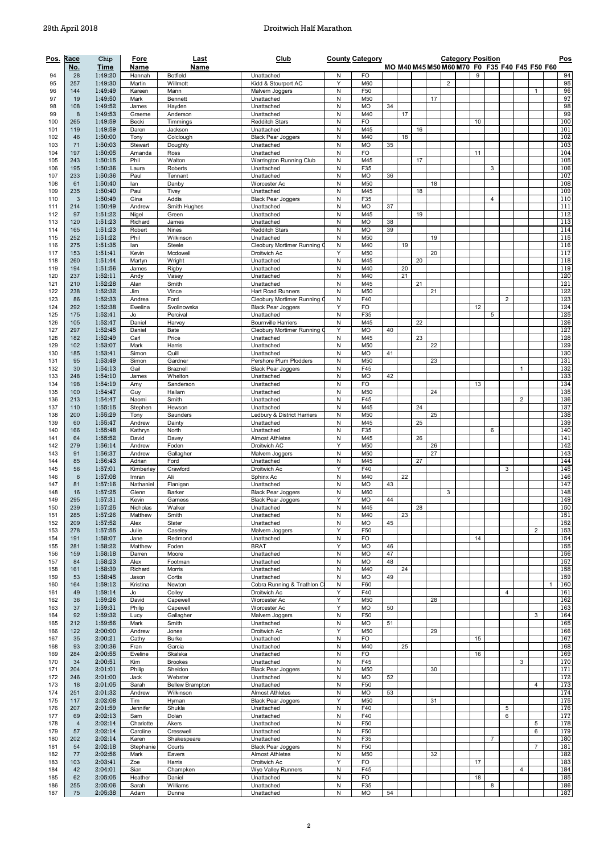## 29th April 2018 Droitwich Half Marathon

| Pos. | Race           | Chip    | Fore      | Last                   | Club                        |           | <b>County Category</b> |    |    |    |    | <b>Category Position</b>                      |    |                |                |                |                | <u>Pos</u> |
|------|----------------|---------|-----------|------------------------|-----------------------------|-----------|------------------------|----|----|----|----|-----------------------------------------------|----|----------------|----------------|----------------|----------------|------------|
|      | No.            | Time    | Name      | Name                   |                             |           |                        |    |    |    |    | MO M40 M45 M50 M60 M70 F0 F35 F40 F45 F50 F60 |    |                |                |                |                |            |
| 94   | 28             | 1:49:20 | Hannah    | <b>Botfield</b>        | Unattached                  | N         | FO                     |    |    |    |    |                                               | 9  |                |                |                |                | 94         |
| 95   | 257            | 1:49:30 | Martin    | Willmott               | Kidd & Stourport AC         | Y         | M60                    |    |    |    |    | 2                                             |    |                |                |                |                | 95         |
| 96   | 144            | 1:49:49 | Kareen    | Mann                   | Malvern Joggers             | N         | F50                    |    |    |    |    |                                               |    |                |                |                | $\mathbf{1}$   | 96         |
| 97   | 19             | 1:49:50 | Mark      | Bennett                | Unattached                  | N         | M50                    |    |    |    | 17 |                                               |    |                |                |                |                | 97         |
| 98   | 108            | 1:49:52 | James     | Hayden                 | Unattached                  | N         | <b>MO</b>              | 34 |    |    |    |                                               |    |                |                |                |                | 98         |
| 99   | 8              | 1:49:53 | Graeme    | Anderson               | Unattached                  | ${\sf N}$ | M40                    |    | 17 |    |    |                                               |    |                |                |                |                | 99         |
| 100  | 265            | 1:49:59 | Becki     | Timmings               | Redditch Stars              | N         | FO                     |    |    |    |    |                                               | 10 |                |                |                |                | 100        |
| 101  | 119            | 1:49:59 | Daren     | Jackson                | Unattached                  | N         | M45                    |    |    | 16 |    |                                               |    |                |                |                |                | 101        |
| 102  | 46             | 1:50:00 | Tony      | Colclough              | <b>Black Pear Joggers</b>   | N         | M40                    |    | 18 |    |    |                                               |    |                |                |                |                | 102        |
| 103  | 71             | 1:50:03 | Stewart   | Doughty                | Unattached                  | N         | MO                     | 35 |    |    |    |                                               |    |                |                |                |                | 103        |
| 104  | 197            | 1:50:05 | Amanda    | Ross                   | Unattached                  | N         | FO                     |    |    |    |    |                                               | 11 |                |                |                |                | 104        |
| 105  | 243            | 1:50:15 | Phil      | Walton                 | Warrington Running Club     | N         | M45                    |    |    | 17 |    |                                               |    |                |                |                |                | 105        |
| 106  | 195            | 1:50:36 | Laura     | Roberts                | Unattached                  | N         | F35                    |    |    |    |    |                                               |    | 3              |                |                |                | 106        |
| 107  | 233            | 1:50:36 | Paul      | Tennant                | Unattached                  | N         | <b>MO</b>              | 36 |    |    |    |                                               |    |                |                |                |                | 107        |
| 108  | 61             | 1:50:40 | lan       | Danby                  | Worcester Ac                | ${\sf N}$ | M50                    |    |    |    | 18 |                                               |    |                |                |                |                | 108        |
|      |                |         |           |                        |                             | N         | M45                    |    |    | 18 |    |                                               |    |                |                |                |                | 109        |
| 109  | 235            | 1:50:40 | Paul      | Tivey                  | Unattached                  |           |                        |    |    |    |    |                                               |    |                |                |                |                |            |
| 110  | 3              | 1:50:49 | Gina      | Addis                  | <b>Black Pear Joggers</b>   | N         | F35                    |    |    |    |    |                                               |    | $\overline{4}$ |                |                |                | 110        |
| 111  | 214            | 1:50:49 | Andrew    | Smith Hughes           | Unattached                  | N         | <b>MO</b>              | 37 |    |    |    |                                               |    |                |                |                |                | 111        |
| 112  | 97             | 1:51:22 | Nigel     | Green                  | Unattached                  | N         | M45                    |    |    | 19 |    |                                               |    |                |                |                |                | 112        |
| 113  | 120            | 1:51:23 | Richard   | James                  | Unattached                  | N         | <b>MO</b>              | 38 |    |    |    |                                               |    |                |                |                |                | 113        |
| 114  | 165            | 1:51:23 | Robert    | Nines                  | Redditch Stars              | ${\sf N}$ | <b>MO</b>              | 39 |    |    |    |                                               |    |                |                |                |                | 114        |
| 115  | 252            | 1:51:22 | Phil      | Wilkinson              | Unattached                  | N         | M50                    |    |    |    | 19 |                                               |    |                |                |                |                | 115        |
| 116  | 275            | 1:51:35 | lan       | Steele                 | Cleobury Mortimer Running   | N         | M40                    |    | 19 |    |    |                                               |    |                |                |                |                | 116        |
| 117  | 153            | 1:51:41 | Kevin     | Mcdowell               | Droitwich Ac                | Υ         | M50                    |    |    |    | 20 |                                               |    |                |                |                |                | 117        |
| 118  | 260            | 1:51:44 | Martyn    | Wright                 | Unattached                  | N         | M45                    |    |    | 20 |    |                                               |    |                |                |                |                | 118        |
| 119  | 194            | 1:51:56 | James     | Rigby                  | Unattached                  | N         | M40                    |    | 20 |    |    |                                               |    |                |                |                |                | 119        |
| 120  | 237            | 1:52:11 | Andy      | Vasey                  | Unattached                  | N         | M40                    |    | 21 |    |    |                                               |    |                |                |                |                | 120        |
| 121  | 210            | 1:52:28 | Alan      | Smith                  | Unattached                  | N         | M45                    |    |    | 21 |    |                                               |    |                |                |                |                | 121        |
| 122  | 238            | 1:52:32 | Jim       | Vince                  | Hart Road Runners           | N         | M50                    |    |    |    | 21 |                                               |    |                |                |                |                | 122        |
| 123  | 86             | 1:52:33 | Andrea    | Ford                   | Cleobury Mortimer Running   | N         | F40                    |    |    |    |    |                                               |    |                | $\overline{2}$ |                |                | 123        |
| 124  | 292            | 1:52:38 | Ewelina   | Svolinowska            | <b>Black Pear Joggers</b>   | Y         | <b>FO</b>              |    |    |    |    |                                               | 12 |                |                |                |                | 124        |
| 125  | 175            | 1:52:41 | Jo        | Percival               | Unattached                  | N         | F35                    |    |    |    |    |                                               |    | 5              |                |                |                | 125        |
| 126  | 105            | 1:52:47 | Daniel    | Harvey                 | <b>Bournville Harriers</b>  | N         | M45                    |    |    | 22 |    |                                               |    |                |                |                |                | 126        |
| 127  | 297            | 1:52:45 | Daniel    | Bate                   | Cleobury Mortimer Running   | Y         | <b>MO</b>              | 40 |    |    |    |                                               |    |                |                |                |                | 127        |
| 128  | 182            | 1:52:49 | Carl      | Price                  | Unattached                  | N         | M45                    |    |    | 23 |    |                                               |    |                |                |                |                | 128        |
| 129  | 102            | 1:53:07 | Mark      | Harris                 | Unattached                  | ${\sf N}$ | M50                    |    |    |    | 22 |                                               |    |                |                |                |                | 129        |
| 130  | 185            | 1:53:41 | Simon     | Quill                  | Unattached                  | N         | <b>MO</b>              | 41 |    |    |    |                                               |    |                |                |                |                | 130        |
| 131  | 95             | 1:53:49 | Simon     | Gardner                | Pershore Plum Plodders      | N         | M50                    |    |    |    | 23 |                                               |    |                |                |                |                | 131        |
| 132  | 30             | 1:54:13 | Gail      | Braznell               | <b>Black Pear Joggers</b>   | N         | F45                    |    |    |    |    |                                               |    |                |                | 1              |                | 132        |
| 133  | 248            | 1:54:10 | James     | Whelton                | Unattached                  | N         | <b>MO</b>              | 42 |    |    |    |                                               |    |                |                |                |                | 133        |
| 134  | 198            | 1:54:19 | Amy       | Sanderson              | Unattached                  | N         | FO                     |    |    |    |    |                                               | 13 |                |                |                |                | 134        |
| 135  | 100            | 1:54:47 | Guy       | Hallam                 | Unattached                  | N         | M50                    |    |    |    | 24 |                                               |    |                |                |                |                | 135        |
| 136  | 213            | 1:54:47 | Naomi     | Smith                  | Unattached                  | N         | F45                    |    |    |    |    |                                               |    |                |                | $\overline{2}$ |                | 136        |
| 137  | 110            | 1:55:15 | Stephen   | Hewson                 | Unattached                  | N         | M45                    |    |    | 24 |    |                                               |    |                |                |                |                | 137        |
| 138  | 200            | 1:55:29 | Tony      | Saunders               | Ledbury & District Harriers | N         | M50                    |    |    |    | 25 |                                               |    |                |                |                |                | 138        |
| 139  | 60             | 1:55:47 | Andrew    | Dainty                 | Unattached                  | N         | M45                    |    |    | 25 |    |                                               |    |                |                |                |                | 139        |
| 140  | 166            | 1:55:48 | Kathryn   | North                  | Unattached                  | N         | F35                    |    |    |    |    |                                               |    | 6              |                |                |                | 140        |
| 141  | 64             | 1:55:52 | David     | Davey                  | <b>Almost Athletes</b>      | N         | M45                    |    |    | 26 |    |                                               |    |                |                |                |                | 141        |
| 142  | 279            | 1:56:14 | Andrew    | Foden                  | Droitwich AC                | Y         | M50                    |    |    |    | 26 |                                               |    |                |                |                |                | 142        |
| 143  | 91             | 1:56:37 | Andrew    | Gallagher              | Malvern Joggers             | Ν         | M50                    |    |    |    | 27 |                                               |    |                |                |                |                | 143        |
| 144  | 85             | 1:56:43 | Adrian    | Ford                   | Unattached                  | N         | M45                    |    |    | 27 |    |                                               |    |                |                |                |                | 144        |
| 145  | 56             | 1:57:01 | Kimberley | Crawford               | Droitwich Ac                | Υ         | F40                    |    |    |    |    |                                               |    |                | 3              |                |                | 145        |
| 146  | 6              | 1:57:08 | Imran     | Ali                    | Sphinx Ac                   | N         | M40                    |    | 22 |    |    |                                               |    |                |                |                |                | 146        |
| 147  | 81             | 1:57:16 | Nathaniel | Flanigan               | Unattached                  | N         | <b>MO</b>              | 43 |    |    |    |                                               |    |                |                |                |                | 147        |
| 148  | 16             | 1:57:25 | Glenn     | Barker                 | <b>Black Pear Joggers</b>   | N         | M60                    |    |    |    |    | 3                                             |    |                |                |                |                | 148        |
| 149  | 295            | 1:57:31 | Kevin     | Garness                | <b>Black Pear Joggers</b>   | Υ         | <b>MO</b>              | 44 |    |    |    |                                               |    |                |                |                |                | 149        |
| 150  | 239            | 1:57:25 | Nicholas  | Walker                 | Unattached                  | N         | M45                    |    |    | 28 |    |                                               |    |                |                |                |                | 150        |
| 151  | 285            | 1:57:26 | Matthew   | Smith                  | Unattached                  | N         | M40                    |    | 23 |    |    |                                               |    |                |                |                |                | 151        |
| 152  | 209            | 1:57:52 | Alex      | Slater                 | Unattached                  | N         | MO                     | 45 |    |    |    |                                               |    |                |                |                |                | 152        |
| 153  | 278            | 1:57:55 | Julie     | Caseley                | Malvern Joggers             | Υ         | F50                    |    |    |    |    |                                               |    |                |                |                | $\overline{2}$ | 153        |
| 154  | 191            | 1:58:07 | Jane      | Redmond                | Unattached                  | N         | FO                     |    |    |    |    |                                               | 14 |                |                |                |                | 154        |
| 155  | 281            | 1:58:22 | Matthew   | Foden                  | <b>BRAT</b>                 | Υ         | <b>MO</b>              | 46 |    |    |    |                                               |    |                |                |                |                | 155        |
| 156  | 159            | 1:58:18 | Darren    | Moore                  | Unattached                  | N         | MO                     | 47 |    |    |    |                                               |    |                |                |                |                | 156        |
| 157  | 84             | 1:58:23 | Alex      | Footman                | Unattached                  | N         | MO                     | 48 |    |    |    |                                               |    |                |                |                |                | 157        |
| 158  | 161            | 1:58:39 | Richard   | Morris                 | Unattached                  | N         | M40                    |    | 24 |    |    |                                               |    |                |                |                |                | 158        |
| 159  | 53             | 1:58:45 | Jason     | Cortis                 | Unattached                  | N         | MO                     | 49 |    |    |    |                                               |    |                |                |                |                | 159        |
| 160  | 164            | 1:59:12 | Kristina  | Newton                 | Cobra Running & Triathlon C | N         | F60                    |    |    |    |    |                                               |    |                |                |                |                | 160        |
| 161  | 49             | 1:59:14 | Jo        | Colley                 | Droitwich Ac                | Y         | F40                    |    |    |    |    |                                               |    |                | 4              |                |                | 161        |
| 162  | 36             | 1:59:26 | David     | Capewell               | Worcester Ac                | Υ         | M50                    |    |    |    | 28 |                                               |    |                |                |                |                | 162        |
| 163  | 37             | 1:59:31 | Philip    | Capewell               | Worcester Ac                | Υ         | <b>MO</b>              | 50 |    |    |    |                                               |    |                |                |                |                | 163        |
| 164  | 92             | 1:59:32 | Lucy      | Gallagher              | Malvern Joggers             | N         | F50                    |    |    |    |    |                                               |    |                |                |                | 3              | 164        |
| 165  | 212            | 1:59:56 | Mark      | Smith                  | Unattached                  | N         | <b>MO</b>              | 51 |    |    |    |                                               |    |                |                |                |                | 165        |
| 166  | 122            | 2:00:00 | Andrew    | Jones                  | Droitwich Ac                | Y         | M50                    |    |    |    | 29 |                                               |    |                |                |                |                | 166        |
| 167  | 35             | 2:00:21 | Cathy     | <b>Burke</b>           | Unattached                  | N         | FO                     |    |    |    |    |                                               | 15 |                |                |                |                | 167        |
| 168  | 93             | 2:00:36 | Fran      | Garcia                 | Unattached                  | N         | M40                    |    | 25 |    |    |                                               |    |                |                |                |                | 168        |
| 169  | 284            | 2:00:55 | Eveline   | Skalska                | Unattached                  | Ν         | FO                     |    |    |    |    |                                               | 16 |                |                |                |                | 169        |
| 170  | 34             | 2:00:51 | Kim       | <b>Brookes</b>         | Unattached                  | N         | F45                    |    |    |    |    |                                               |    |                |                | 3              |                | 170        |
| 171  | 204            | 2:01:01 | Philip    | Sheldon                | <b>Black Pear Joggers</b>   | N         | M50                    |    |    |    | 30 |                                               |    |                |                |                |                | 171        |
| 172  | 246            | 2:01:00 | Jack      | Webster                | Unattached                  | N         | MO                     | 52 |    |    |    |                                               |    |                |                |                |                | 172        |
| 173  | 18             | 2:01:05 | Sarah     | <b>Bellew Brampton</b> | Unattached                  | Ν         | F50                    |    |    |    |    |                                               |    |                |                |                | 4              | 173        |
| 174  | 251            | 2:01:32 | Andrew    | Wilkinson              | <b>Almost Athletes</b>      | N         | MO                     | 53 |    |    |    |                                               |    |                |                |                |                | 174        |
| 175  | 117            | 2:02:08 | Tim       | Hyman                  | <b>Black Pear Joggers</b>   | Υ         | M50                    |    |    |    | 31 |                                               |    |                |                |                |                | 175        |
| 176  | 207            | 2:01:59 | Jennifer  | Shukla                 | Unattached                  | N         | F40                    |    |    |    |    |                                               |    |                | 5              |                |                | 176        |
| 177  | 69             | 2:02:13 | Sam       | Dolan                  | Unattached                  | N         | F40                    |    |    |    |    |                                               |    |                | 6              |                |                | 177        |
| 178  | $\overline{4}$ | 2:02:14 | Charlotte | Akers                  | Unattached                  | N         | F50                    |    |    |    |    |                                               |    |                |                |                | 5              | 178        |
| 179  | 57             | 2:02:14 | Caroline  | Cresswell              | Unattached                  | N         | F50                    |    |    |    |    |                                               |    |                |                |                | 6              | 179        |
| 180  | 202            | 2:02:14 | Karen     | Shakespeare            | Unattached                  | N         | F35                    |    |    |    |    |                                               |    | $\overline{7}$ |                |                |                | 180        |
| 181  | 54             | 2:02:18 | Stephanie | Courts                 | <b>Black Pear Joggers</b>   | N         | F50                    |    |    |    |    |                                               |    |                |                |                | $\overline{7}$ | 181        |
| 182  | 77             | 2:02:56 | Mark      | Eavers                 | <b>Almost Athletes</b>      | N         | M50                    |    |    |    | 32 |                                               |    |                |                |                |                | 182        |
| 183  | 103            | 2:03:41 | Zoe       | Harris                 | Droitwich Ac                | Y         | FO                     |    |    |    |    |                                               | 17 |                |                |                |                | 183        |
| 184  | 42             | 2:04:01 | Sian      | Champken               | Wye Valley Runners          | Ν         | F45                    |    |    |    |    |                                               |    |                |                | 4              |                | 184        |
| 185  | 62             | 2:05:05 | Heather   | Daniel                 | Unattached                  | ${\sf N}$ | FO                     |    |    |    |    |                                               | 18 |                |                |                |                | 185        |
| 186  | 255            | 2:05:06 | Sarah     | Williams               | Unattached                  | N         | F35                    |    |    |    |    |                                               |    | 8              |                |                |                | 186        |
| 187  | 75             | 2:05:38 | Adam      | Dunne                  | Unattached                  | N         | MO                     | 54 |    |    |    |                                               |    |                |                |                |                | 187        |